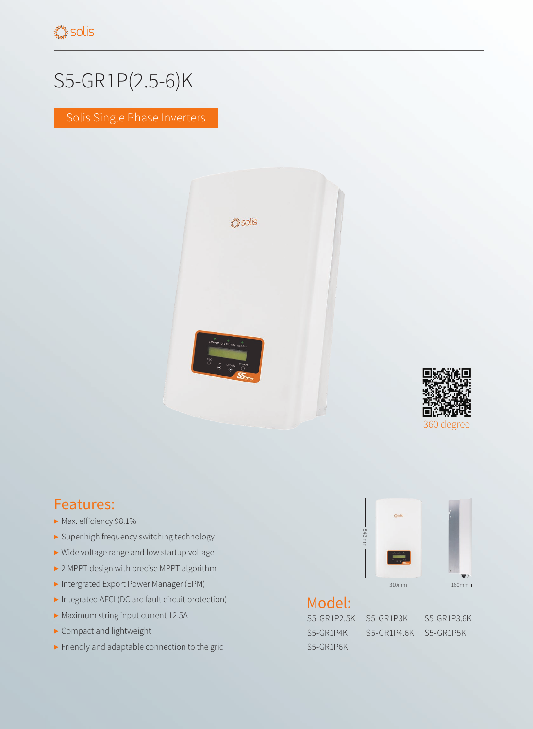## S5-GR1P(2.5-6)K

Solis Single Phase Inverters





## Features:

- ▶ Max. efficiency 98.1%
- ▶ Super high frequency switching technology
- ▶ Wide voltage range and low startup voltage
- ▶ 2 MPPT design with precise MPPT algorithm
- ▶ Intergrated Export Power Manager (EPM)
- ▶ Integrated AFCI (DC arc-fault circuit protection)
- ▶ Maximum string input current 12.5A
- ▶ Compact and lightweight
- ▶ Friendly and adaptable connection to the grid



## Model:

S5-GR1P2.5K S5-GR1P3K S5-GR1P3.6K S5-GR1P6K

S5-GR1P4K S5-GR1P4.6K S5-GR1P5K